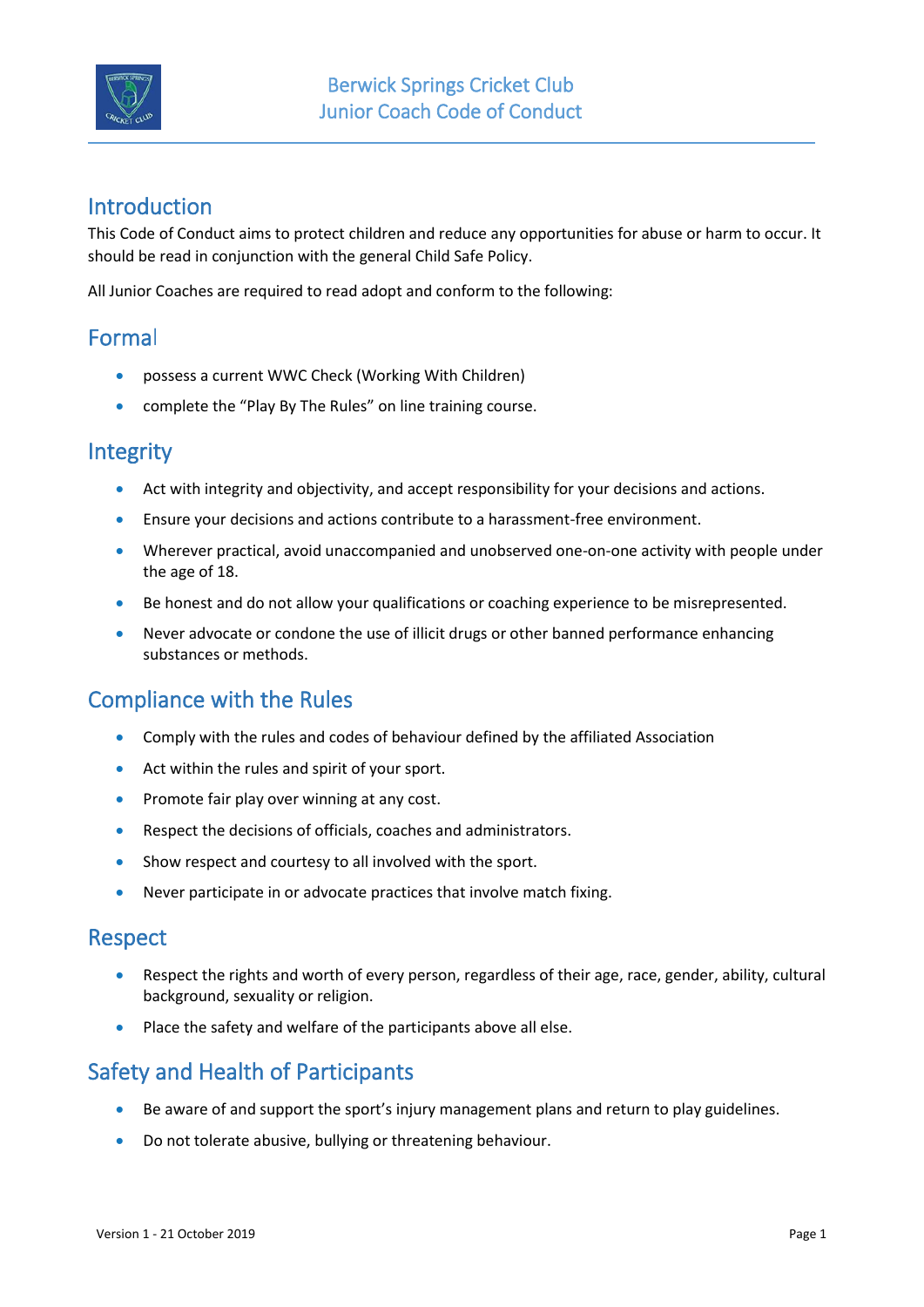

# Introduction

This Code of Conduct aims to protect children and reduce any opportunities for abuse or harm to occur. It should be read in conjunction with the general Child Safe Policy.

All Junior Coaches are required to read adopt and conform to the following:

# Formal

- possess a current WWC Check (Working With Children)
- complete the "Play By The Rules" on line training course.

### **Integrity**

- Act with integrity and objectivity, and accept responsibility for your decisions and actions.
- Ensure your decisions and actions contribute to a harassment-free environment.
- Wherever practical, avoid unaccompanied and unobserved one-on-one activity with people under the age of 18.
- Be honest and do not allow your qualifications or coaching experience to be misrepresented.
- Never advocate or condone the use of illicit drugs or other banned performance enhancing substances or methods.

# Compliance with the Rules

- Comply with the rules and codes of behaviour defined by the affiliated Association
- Act within the rules and spirit of your sport.
- Promote fair play over winning at any cost.
- Respect the decisions of officials, coaches and administrators.
- Show respect and courtesy to all involved with the sport.
- Never participate in or advocate practices that involve match fixing.

#### Respect

- Respect the rights and worth of every person, regardless of their age, race, gender, ability, cultural background, sexuality or religion.
- Place the safety and welfare of the participants above all else.

# Safety and Health of Participants

- Be aware of and support the sport's injury management plans and return to play guidelines.
- Do not tolerate abusive, bullying or threatening behaviour.